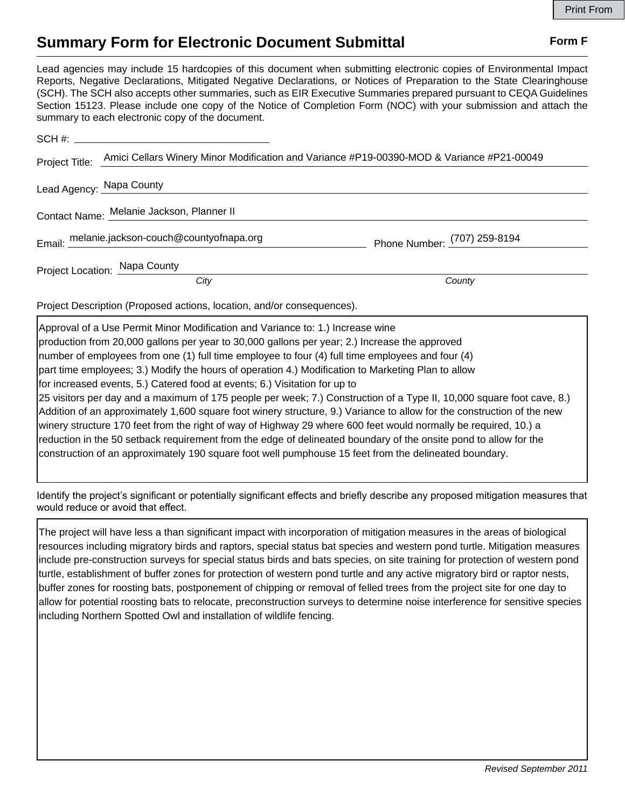## **Summary Form for Electronic Document Submittal Form F Form F**

Lead agencies may include 15 hardcopies of this document when submitting electronic copies of Environmental Impact Reports, Negative Declarations, Mitigated Negative Declarations, or Notices of Preparation to the State Clearinghouse (SCH). The SCH also accepts other summaries, such as EIR Executive Summaries prepared pursuant to CEQA Guidelines Section 15123. Please include one copy of the Notice of Completion Form (NOC) with your submission and attach the summary to each electronic copy of the document.

|                                           | Project Title: Amici Cellars Winery Minor Modification and Variance #P19-00390-MOD & Variance #P21-00049 |                              |
|-------------------------------------------|----------------------------------------------------------------------------------------------------------|------------------------------|
| Lead Agency: Napa County                  |                                                                                                          |                              |
| Contact Name: Melanie Jackson, Planner II |                                                                                                          |                              |
|                                           | Email: melanie.jackson-couch@countyofnapa.org                                                            | Phone Number: (707) 259-8194 |
|                                           | Project Location: Napa County                                                                            |                              |
|                                           | City                                                                                                     | County                       |

Project Description (Proposed actions, location, and/or consequences).

Approval of a Use Permit Minor Modification and Variance to: 1.) Increase wine production from 20,000 gallons per year to 30,000 gallons per year; 2.) Increase the approved number of employees from one (1) full time employee to four (4) full time employees and four (4) part time employees; 3.) Modify the hours of operation 4.) Modification to Marketing Plan to allow for increased events, 5.) Catered food at events; 6.) Visitation for up to 25 visitors per day and a maximum of 175 people per week; 7.) Construction of a Type II, 10,000 square foot cave, 8.) Addition of an approximately 1,600 square foot winery structure, 9.) Variance to allow for the construction of the new winery structure 170 feet from the right of way of Highway 29 where 600 feet would normally be required, 10.) a reduction in the 50 setback requirement from the edge of delineated boundary of the onsite pond to allow for the construction of an approximately 190 square foot well pumphouse 15 feet from the delineated boundary.

Identify the project's significant or potentially significant effects and briefly describe any proposed mitigation measures that would reduce or avoid that effect.

The project will have less a than significant impact with incorporation of mitigation measures in the areas of biological resources including migratory birds and raptors, special status bat species and western pond turtle. Mitigation measures include pre-construction surveys for special status birds and bats species, on site training for protection of western pond turtle, establishment of buffer zones for protection of western pond turtle and any active migratory bird or raptor nests, buffer zones for roosting bats, postponement of chipping or removal of felled trees from the project site for one day to allow for potential roosting bats to relocate, preconstruction surveys to determine noise interference for sensitive species including Northern Spotted Owl and installation of wildlife fencing.